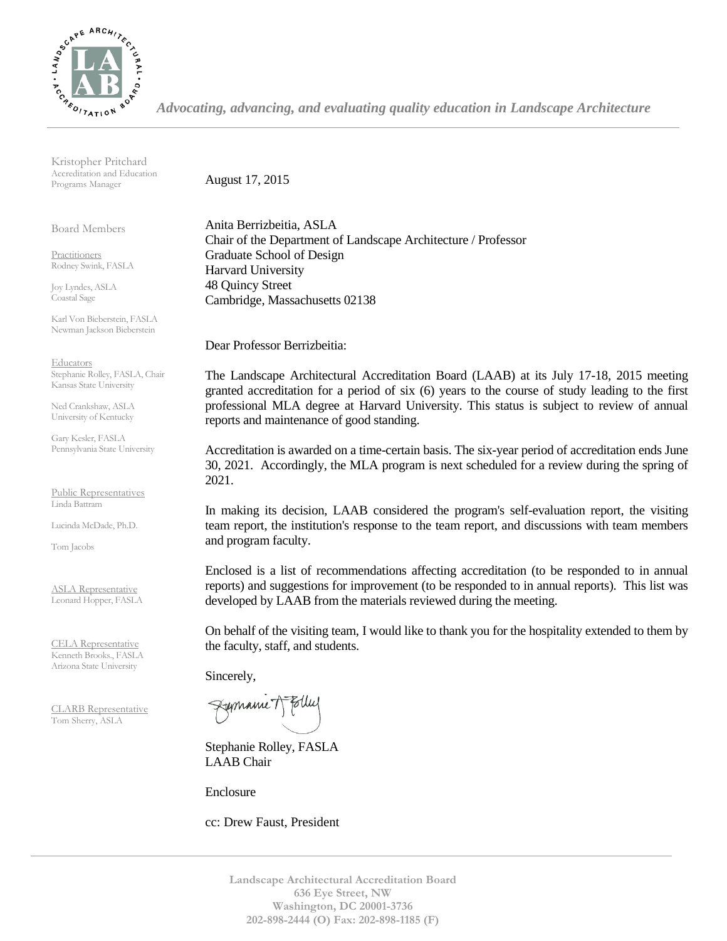

Kristopher Pritchard Accreditation and Education Programs Manager

Board Members

Practitioners Rodney Swink, FASLA

Joy Lyndes, ASLA Coastal Sage

Karl Von Bieberstein, FASLA Newman Jackson Bieberstein

**Educators** Stephanie Rolley, FASLA, Chair Kansas State University

Ned Crankshaw, ASLA University of Kentucky

Gary Kesler, FASLA Pennsylvania State University

Public Representatives Linda Battram

Lucinda McDade, Ph.D.

Tom Jacobs

ASLA Representative Leonard Hopper, FASLA

CELA Representative Kenneth Brooks., FASLA Arizona State University

CLARB Representative Tom Sherry, ASLA

August 17, 2015

Anita Berrizbeitia, ASLA Chair of the Department of Landscape Architecture / Professor Graduate School of Design Harvard University 48 Quincy Street Cambridge, Massachusetts 02138

Dear Professor Berrizbeitia:

The Landscape Architectural Accreditation Board (LAAB) at its July 17-18, 2015 meeting granted accreditation for a period of six (6) years to the course of study leading to the first professional MLA degree at Harvard University. This status is subject to review of annual reports and maintenance of good standing.

Accreditation is awarded on a time-certain basis. The six-year period of accreditation ends June 30, 2021. Accordingly, the MLA program is next scheduled for a review during the spring of 2021.

In making its decision, LAAB considered the program's self-evaluation report, the visiting team report, the institution's response to the team report, and discussions with team members and program faculty.

Enclosed is a list of recommendations affecting accreditation (to be responded to in annual reports) and suggestions for improvement (to be responded to in annual reports). This list was developed by LAAB from the materials reviewed during the meeting.

On behalf of the visiting team, I would like to thank you for the hospitality extended to them by the faculty, staff, and students.

Sincerely,

Fremanne 1

Stephanie Rolley, FASLA LAAB Chair

Enclosure

cc: Drew Faust, President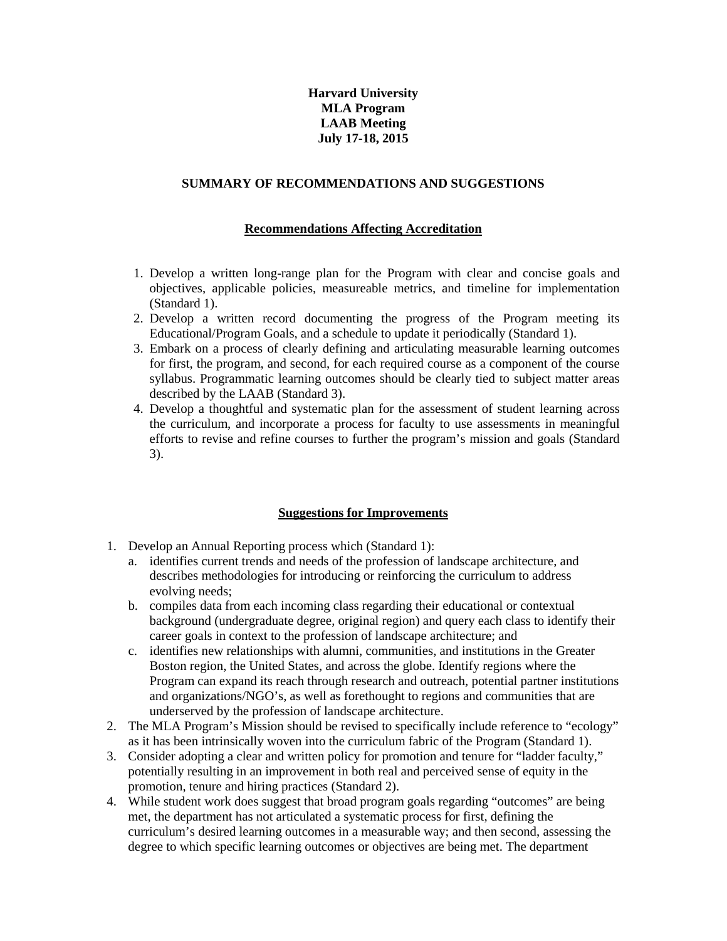## **Harvard University MLA Program LAAB Meeting July 17-18, 2015**

## **SUMMARY OF RECOMMENDATIONS AND SUGGESTIONS**

## **Recommendations Affecting Accreditation**

- 1. Develop a written long-range plan for the Program with clear and concise goals and objectives, applicable policies, measureable metrics, and timeline for implementation (Standard 1).
- 2. Develop a written record documenting the progress of the Program meeting its Educational/Program Goals, and a schedule to update it periodically (Standard 1).
- 3. Embark on a process of clearly defining and articulating measurable learning outcomes for first, the program, and second, for each required course as a component of the course syllabus. Programmatic learning outcomes should be clearly tied to subject matter areas described by the LAAB (Standard 3).
- 4. Develop a thoughtful and systematic plan for the assessment of student learning across the curriculum, and incorporate a process for faculty to use assessments in meaningful efforts to revise and refine courses to further the program's mission and goals (Standard 3).

## **Suggestions for Improvements**

- 1. Develop an Annual Reporting process which (Standard 1):
	- a. identifies current trends and needs of the profession of landscape architecture, and describes methodologies for introducing or reinforcing the curriculum to address evolving needs;
	- b. compiles data from each incoming class regarding their educational or contextual background (undergraduate degree, original region) and query each class to identify their career goals in context to the profession of landscape architecture; and
	- c. identifies new relationships with alumni, communities, and institutions in the Greater Boston region, the United States, and across the globe. Identify regions where the Program can expand its reach through research and outreach, potential partner institutions and organizations/NGO's, as well as forethought to regions and communities that are underserved by the profession of landscape architecture.
- 2. The MLA Program's Mission should be revised to specifically include reference to "ecology" as it has been intrinsically woven into the curriculum fabric of the Program (Standard 1).
- 3. Consider adopting a clear and written policy for promotion and tenure for "ladder faculty," potentially resulting in an improvement in both real and perceived sense of equity in the promotion, tenure and hiring practices (Standard 2).
- 4. While student work does suggest that broad program goals regarding "outcomes" are being met, the department has not articulated a systematic process for first, defining the curriculum's desired learning outcomes in a measurable way; and then second, assessing the degree to which specific learning outcomes or objectives are being met. The department